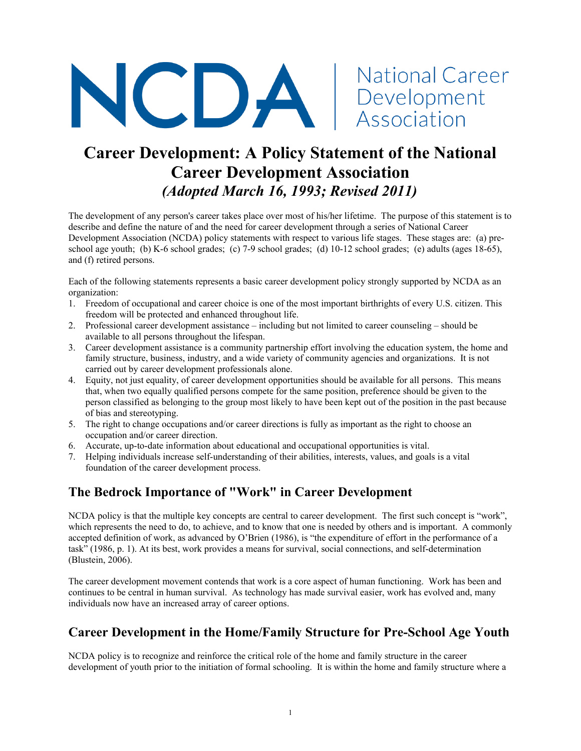

# **Career Development: A Policy Statement of the National Career Development Association** *(Adopted March 16, 1993; Revised 2011)*

The development of any person's career takes place over most of his/her lifetime. The purpose of this statement is to describe and define the nature of and the need for career development through a series of National Career Development Association (NCDA) policy statements with respect to various life stages. These stages are: (a) preschool age youth; (b) K-6 school grades; (c) 7-9 school grades; (d) 10-12 school grades; (e) adults (ages 18-65), and (f) retired persons.

Each of the following statements represents a basic career development policy strongly supported by NCDA as an organization:

- 1. Freedom of occupational and career choice is one of the most important birthrights of every U.S. citizen. This freedom will be protected and enhanced throughout life.
- 2. Professional career development assistance including but not limited to career counseling should be available to all persons throughout the lifespan.
- 3. Career development assistance is a community partnership effort involving the education system, the home and family structure, business, industry, and a wide variety of community agencies and organizations. It is not carried out by career development professionals alone.
- 4. Equity, not just equality, of career development opportunities should be available for all persons. This means that, when two equally qualified persons compete for the same position, preference should be given to the person classified as belonging to the group most likely to have been kept out of the position in the past because of bias and stereotyping.
- 5. The right to change occupations and/or career directions is fully as important as the right to choose an occupation and/or career direction.
- 6. Accurate, up-to-date information about educational and occupational opportunities is vital.
- 7. Helping individuals increase self-understanding of their abilities, interests, values, and goals is a vital foundation of the career development process.

## **The Bedrock Importance of "Work" in Career Development**

NCDA policy is that the multiple key concepts are central to career development. The first such concept is "work", which represents the need to do, to achieve, and to know that one is needed by others and is important. A commonly accepted definition of work, as advanced by O'Brien (1986), is "the expenditure of effort in the performance of a task" (1986, p. 1). At its best, work provides a means for survival, social connections, and self-determination (Blustein, 2006).

The career development movement contends that work is a core aspect of human functioning. Work has been and continues to be central in human survival. As technology has made survival easier, work has evolved and, many individuals now have an increased array of career options.

## **Career Development in the Home/Family Structure for Pre-School Age Youth**

NCDA policy is to recognize and reinforce the critical role of the home and family structure in the career development of youth prior to the initiation of formal schooling. It is within the home and family structure where a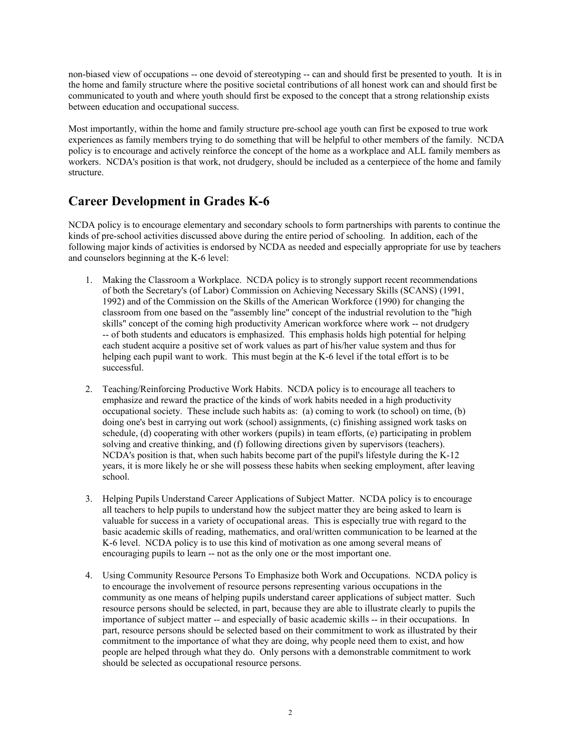non-biased view of occupations -- one devoid of stereotyping -- can and should first be presented to youth. It is in the home and family structure where the positive societal contributions of all honest work can and should first be communicated to youth and where youth should first be exposed to the concept that a strong relationship exists between education and occupational success.

Most importantly, within the home and family structure pre-school age youth can first be exposed to true work experiences as family members trying to do something that will be helpful to other members of the family. NCDA policy is to encourage and actively reinforce the concept of the home as a workplace and ALL family members as workers. NCDA's position is that work, not drudgery, should be included as a centerpiece of the home and family structure.

#### **Career Development in Grades K-6**

NCDA policy is to encourage elementary and secondary schools to form partnerships with parents to continue the kinds of pre-school activities discussed above during the entire period of schooling. In addition, each of the following major kinds of activities is endorsed by NCDA as needed and especially appropriate for use by teachers and counselors beginning at the K-6 level:

- 1. Making the Classroom a Workplace. NCDA policy is to strongly support recent recommendations of both the Secretary's (of Labor) Commission on Achieving Necessary Skills (SCANS) (1991, 1992) and of the Commission on the Skills of the American Workforce (1990) for changing the classroom from one based on the "assembly line" concept of the industrial revolution to the "high skills" concept of the coming high productivity American workforce where work -- not drudgery -- of both students and educators is emphasized. This emphasis holds high potential for helping each student acquire a positive set of work values as part of his/her value system and thus for helping each pupil want to work. This must begin at the K-6 level if the total effort is to be successful.
- 2. Teaching/Reinforcing Productive Work Habits. NCDA policy is to encourage all teachers to emphasize and reward the practice of the kinds of work habits needed in a high productivity occupational society. These include such habits as: (a) coming to work (to school) on time, (b) doing one's best in carrying out work (school) assignments, (c) finishing assigned work tasks on schedule, (d) cooperating with other workers (pupils) in team efforts, (e) participating in problem solving and creative thinking, and (f) following directions given by supervisors (teachers). NCDA's position is that, when such habits become part of the pupil's lifestyle during the K-12 years, it is more likely he or she will possess these habits when seeking employment, after leaving school.
- 3. Helping Pupils Understand Career Applications of Subject Matter. NCDA policy is to encourage all teachers to help pupils to understand how the subject matter they are being asked to learn is valuable for success in a variety of occupational areas. This is especially true with regard to the basic academic skills of reading, mathematics, and oral/written communication to be learned at the K-6 level. NCDA policy is to use this kind of motivation as one among several means of encouraging pupils to learn -- not as the only one or the most important one.
- 4. Using Community Resource Persons To Emphasize both Work and Occupations. NCDA policy is to encourage the involvement of resource persons representing various occupations in the community as one means of helping pupils understand career applications of subject matter. Such resource persons should be selected, in part, because they are able to illustrate clearly to pupils the importance of subject matter -- and especially of basic academic skills -- in their occupations. In part, resource persons should be selected based on their commitment to work as illustrated by their commitment to the importance of what they are doing, why people need them to exist, and how people are helped through what they do. Only persons with a demonstrable commitment to work should be selected as occupational resource persons.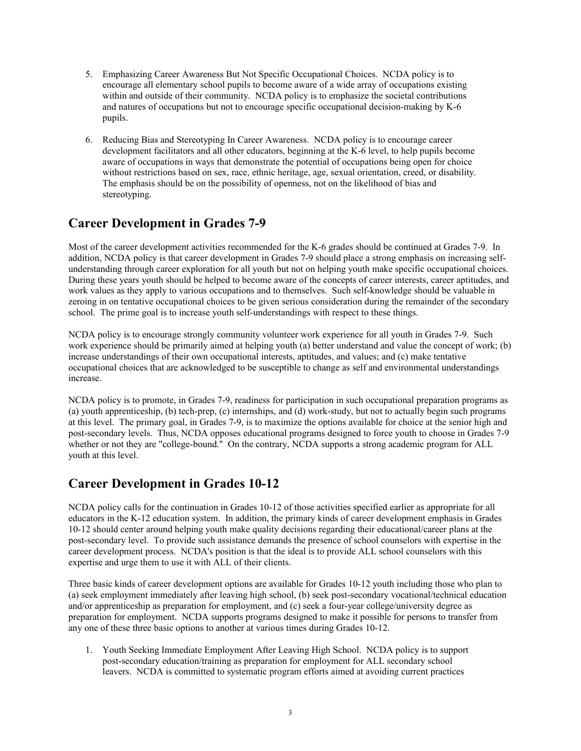- 5. Emphasizing Career Awareness But Not Specific Occupational Choices. NCDA policy is to encourage all elementary school pupils to become aware of a wide array of occupations existing within and outside of their community. NCDA policy is to emphasize the societal contributions and natures of occupations but not to encourage specific occupational decision-making by K-6 pupils.
- 6. Reducing Bias and Stereotyping In Career Awareness. NCDA policy is to encourage career development facilitators and all other educators, beginning at the K-6 level, to help pupils become aware of occupations in ways that demonstrate the potential of occupations being open for choice without restrictions based on sex, race, ethnic heritage, age, sexual orientation, creed, or disability. The emphasis should be on the possibility of openness, not on the likelihood of bias and stereotyping.

#### **Career Development in Grades 7-9**

Most of the career development activities recommended for the K-6 grades should be continued at Grades 7-9. In addition, NCDA policy is that career development in Grades 7-9 should place a strong emphasis on increasing selfunderstanding through career exploration for all youth but not on helping youth make specific occupational choices. During these years youth should be helped to become aware of the concepts of career interests, career aptitudes, and work values as they apply to various occupations and to themselves. Such self-knowledge should be valuable in zeroing in on tentative occupational choices to be given serious consideration during the remainder of the secondary school. The prime goal is to increase youth self-understandings with respect to these things.

NCDA policy is to encourage strongly community volunteer work experience for all youth in Grades 7-9. Such work experience should be primarily aimed at helping youth (a) better understand and value the concept of work; (b) increase understandings of their own occupational interests, aptitudes, and values; and (c) make tentative occupational choices that are acknowledged to be susceptible to change as self and environmental understandings increase.

NCDA policy is to promote, in Grades 7-9, readiness for participation in such occupational preparation programs as (a) youth apprenticeship, (b) tech-prep, (c) internships, and (d) work-study, but not to actually begin such programs at this level. The primary goal, in Grades 7-9, is to maximize the options available for choice at the senior high and post-secondary levels. Thus, NCDA opposes educational programs designed to force youth to choose in Grades 7-9 whether or not they are "college-bound." On the contrary, NCDA supports a strong academic program for ALL youth at this level.

#### **Career Development in Grades 10-12**

NCDA policy calls for the continuation in Grades 10-12 of those activities specified earlier as appropriate for all educators in the K-12 education system. In addition, the primary kinds of career development emphasis in Grades 10-12 should center around helping youth make quality decisions regarding their educational/career plans at the post-secondary level. To provide such assistance demands the presence of school counselors with expertise in the career development process. NCDA's position is that the ideal is to provide ALL school counselors with this expertise and urge them to use it with ALL of their clients.

Three basic kinds of career development options are available for Grades 10-12 youth including those who plan to (a) seek employment immediately after leaving high school, (b) seek post-secondary vocational/technical education and/or apprenticeship as preparation for employment, and (c) seek a four-year college/university degree as preparation for employment. NCDA supports programs designed to make it possible for persons to transfer from any one of these three basic options to another at various times during Grades 10-12.

1. Youth Seeking Immediate Employment After Leaving High School. NCDA policy is to support post-secondary education/training as preparation for employment for ALL secondary school leavers. NCDA is committed to systematic program efforts aimed at avoiding current practices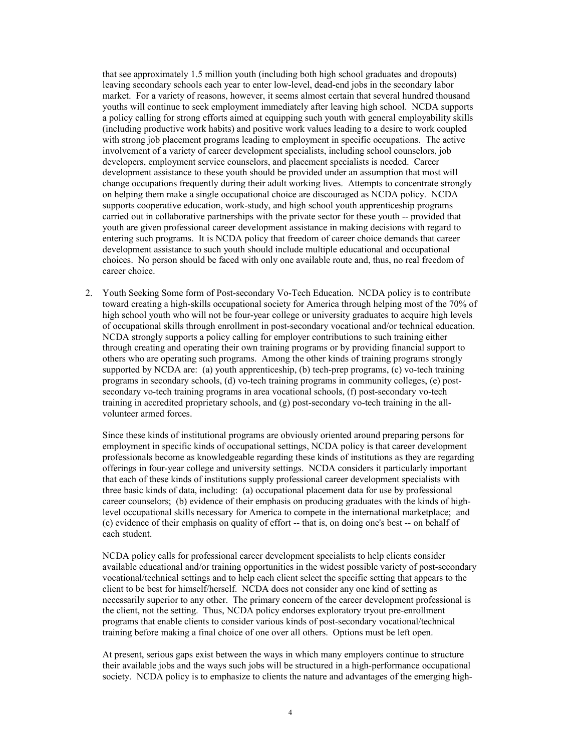that see approximately 1.5 million youth (including both high school graduates and dropouts) leaving secondary schools each year to enter low-level, dead-end jobs in the secondary labor market. For a variety of reasons, however, it seems almost certain that several hundred thousand youths will continue to seek employment immediately after leaving high school. NCDA supports a policy calling for strong efforts aimed at equipping such youth with general employability skills (including productive work habits) and positive work values leading to a desire to work coupled with strong job placement programs leading to employment in specific occupations. The active involvement of a variety of career development specialists, including school counselors, job developers, employment service counselors, and placement specialists is needed. Career development assistance to these youth should be provided under an assumption that most will change occupations frequently during their adult working lives. Attempts to concentrate strongly on helping them make a single occupational choice are discouraged as NCDA policy. NCDA supports cooperative education, work-study, and high school youth apprenticeship programs carried out in collaborative partnerships with the private sector for these youth -- provided that youth are given professional career development assistance in making decisions with regard to entering such programs. It is NCDA policy that freedom of career choice demands that career development assistance to such youth should include multiple educational and occupational choices. No person should be faced with only one available route and, thus, no real freedom of career choice.

2. Youth Seeking Some form of Post-secondary Vo-Tech Education. NCDA policy is to contribute toward creating a high-skills occupational society for America through helping most of the 70% of high school youth who will not be four-year college or university graduates to acquire high levels of occupational skills through enrollment in post-secondary vocational and/or technical education. NCDA strongly supports a policy calling for employer contributions to such training either through creating and operating their own training programs or by providing financial support to others who are operating such programs. Among the other kinds of training programs strongly supported by NCDA are: (a) youth apprenticeship, (b) tech-prep programs, (c) vo-tech training programs in secondary schools, (d) vo-tech training programs in community colleges, (e) postsecondary vo-tech training programs in area vocational schools, (f) post-secondary vo-tech training in accredited proprietary schools, and (g) post-secondary vo-tech training in the allvolunteer armed forces.

Since these kinds of institutional programs are obviously oriented around preparing persons for employment in specific kinds of occupational settings, NCDA policy is that career development professionals become as knowledgeable regarding these kinds of institutions as they are regarding offerings in four-year college and university settings. NCDA considers it particularly important that each of these kinds of institutions supply professional career development specialists with three basic kinds of data, including: (a) occupational placement data for use by professional career counselors; (b) evidence of their emphasis on producing graduates with the kinds of highlevel occupational skills necessary for America to compete in the international marketplace; and (c) evidence of their emphasis on quality of effort -- that is, on doing one's best -- on behalf of each student.

NCDA policy calls for professional career development specialists to help clients consider available educational and/or training opportunities in the widest possible variety of post-secondary vocational/technical settings and to help each client select the specific setting that appears to the client to be best for himself/herself. NCDA does not consider any one kind of setting as necessarily superior to any other. The primary concern of the career development professional is the client, not the setting. Thus, NCDA policy endorses exploratory tryout pre-enrollment programs that enable clients to consider various kinds of post-secondary vocational/technical training before making a final choice of one over all others. Options must be left open.

At present, serious gaps exist between the ways in which many employers continue to structure their available jobs and the ways such jobs will be structured in a high-performance occupational society. NCDA policy is to emphasize to clients the nature and advantages of the emerging high-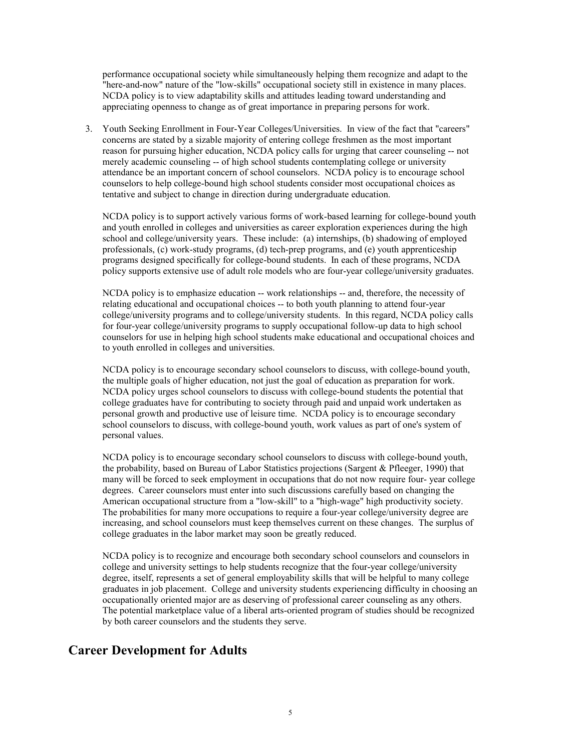performance occupational society while simultaneously helping them recognize and adapt to the "here-and-now" nature of the "low-skills" occupational society still in existence in many places. NCDA policy is to view adaptability skills and attitudes leading toward understanding and appreciating openness to change as of great importance in preparing persons for work.

3. Youth Seeking Enrollment in Four-Year Colleges/Universities. In view of the fact that "careers" concerns are stated by a sizable majority of entering college freshmen as the most important reason for pursuing higher education, NCDA policy calls for urging that career counseling -- not merely academic counseling -- of high school students contemplating college or university attendance be an important concern of school counselors. NCDA policy is to encourage school counselors to help college-bound high school students consider most occupational choices as tentative and subject to change in direction during undergraduate education.

NCDA policy is to support actively various forms of work-based learning for college-bound youth and youth enrolled in colleges and universities as career exploration experiences during the high school and college/university years. These include: (a) internships, (b) shadowing of employed professionals, (c) work-study programs, (d) tech-prep programs, and (e) youth apprenticeship programs designed specifically for college-bound students. In each of these programs, NCDA policy supports extensive use of adult role models who are four-year college/university graduates.

NCDA policy is to emphasize education -- work relationships -- and, therefore, the necessity of relating educational and occupational choices -- to both youth planning to attend four-year college/university programs and to college/university students. In this regard, NCDA policy calls for four-year college/university programs to supply occupational follow-up data to high school counselors for use in helping high school students make educational and occupational choices and to youth enrolled in colleges and universities.

NCDA policy is to encourage secondary school counselors to discuss, with college-bound youth, the multiple goals of higher education, not just the goal of education as preparation for work. NCDA policy urges school counselors to discuss with college-bound students the potential that college graduates have for contributing to society through paid and unpaid work undertaken as personal growth and productive use of leisure time. NCDA policy is to encourage secondary school counselors to discuss, with college-bound youth, work values as part of one's system of personal values.

NCDA policy is to encourage secondary school counselors to discuss with college-bound youth, the probability, based on Bureau of Labor Statistics projections (Sargent & Pfleeger, 1990) that many will be forced to seek employment in occupations that do not now require four- year college degrees. Career counselors must enter into such discussions carefully based on changing the American occupational structure from a "low-skill" to a "high-wage" high productivity society. The probabilities for many more occupations to require a four-year college/university degree are increasing, and school counselors must keep themselves current on these changes. The surplus of college graduates in the labor market may soon be greatly reduced.

NCDA policy is to recognize and encourage both secondary school counselors and counselors in college and university settings to help students recognize that the four-year college/university degree, itself, represents a set of general employability skills that will be helpful to many college graduates in job placement. College and university students experiencing difficulty in choosing an occupationally oriented major are as deserving of professional career counseling as any others. The potential marketplace value of a liberal arts-oriented program of studies should be recognized by both career counselors and the students they serve.

#### **Career Development for Adults**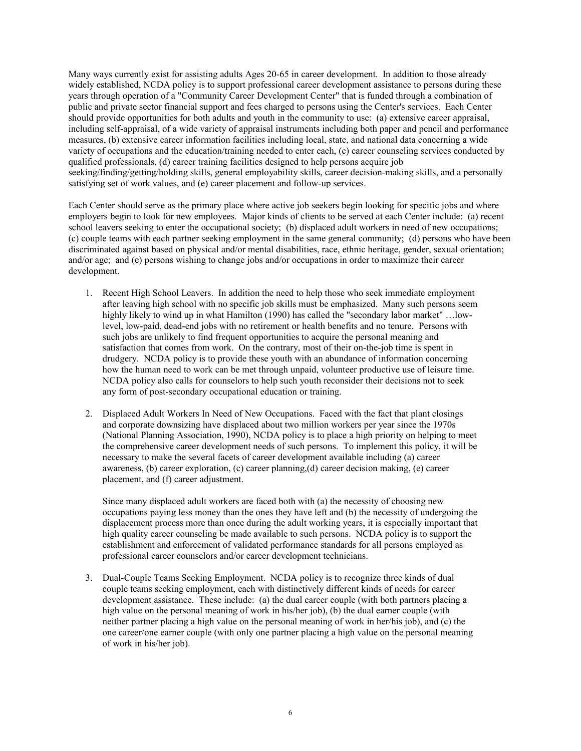Many ways currently exist for assisting adults Ages 20-65 in career development. In addition to those already widely established, NCDA policy is to support professional career development assistance to persons during these years through operation of a "Community Career Development Center" that is funded through a combination of public and private sector financial support and fees charged to persons using the Center's services. Each Center should provide opportunities for both adults and youth in the community to use: (a) extensive career appraisal, including self-appraisal, of a wide variety of appraisal instruments including both paper and pencil and performance measures, (b) extensive career information facilities including local, state, and national data concerning a wide variety of occupations and the education/training needed to enter each, (c) career counseling services conducted by qualified professionals, (d) career training facilities designed to help persons acquire job seeking/finding/getting/holding skills, general employability skills, career decision-making skills, and a personally satisfying set of work values, and (e) career placement and follow-up services.

Each Center should serve as the primary place where active job seekers begin looking for specific jobs and where employers begin to look for new employees. Major kinds of clients to be served at each Center include: (a) recent school leavers seeking to enter the occupational society; (b) displaced adult workers in need of new occupations; (c) couple teams with each partner seeking employment in the same general community; (d) persons who have been discriminated against based on physical and/or mental disabilities, race, ethnic heritage, gender, sexual orientation; and/or age; and (e) persons wishing to change jobs and/or occupations in order to maximize their career development.

- 1. Recent High School Leavers. In addition the need to help those who seek immediate employment after leaving high school with no specific job skills must be emphasized. Many such persons seem highly likely to wind up in what Hamilton (1990) has called the "secondary labor market" …lowlevel, low-paid, dead-end jobs with no retirement or health benefits and no tenure. Persons with such jobs are unlikely to find frequent opportunities to acquire the personal meaning and satisfaction that comes from work. On the contrary, most of their on-the-job time is spent in drudgery. NCDA policy is to provide these youth with an abundance of information concerning how the human need to work can be met through unpaid, volunteer productive use of leisure time. NCDA policy also calls for counselors to help such youth reconsider their decisions not to seek any form of post-secondary occupational education or training.
- 2. Displaced Adult Workers In Need of New Occupations. Faced with the fact that plant closings and corporate downsizing have displaced about two million workers per year since the 1970s (National Planning Association, 1990), NCDA policy is to place a high priority on helping to meet the comprehensive career development needs of such persons. To implement this policy, it will be necessary to make the several facets of career development available including (a) career awareness, (b) career exploration, (c) career planning,(d) career decision making, (e) career placement, and (f) career adjustment.

Since many displaced adult workers are faced both with (a) the necessity of choosing new occupations paying less money than the ones they have left and (b) the necessity of undergoing the displacement process more than once during the adult working years, it is especially important that high quality career counseling be made available to such persons. NCDA policy is to support the establishment and enforcement of validated performance standards for all persons employed as professional career counselors and/or career development technicians.

3. Dual-Couple Teams Seeking Employment. NCDA policy is to recognize three kinds of dual couple teams seeking employment, each with distinctively different kinds of needs for career development assistance. These include: (a) the dual career couple (with both partners placing a high value on the personal meaning of work in his/her job), (b) the dual earner couple (with neither partner placing a high value on the personal meaning of work in her/his job), and (c) the one career/one earner couple (with only one partner placing a high value on the personal meaning of work in his/her job).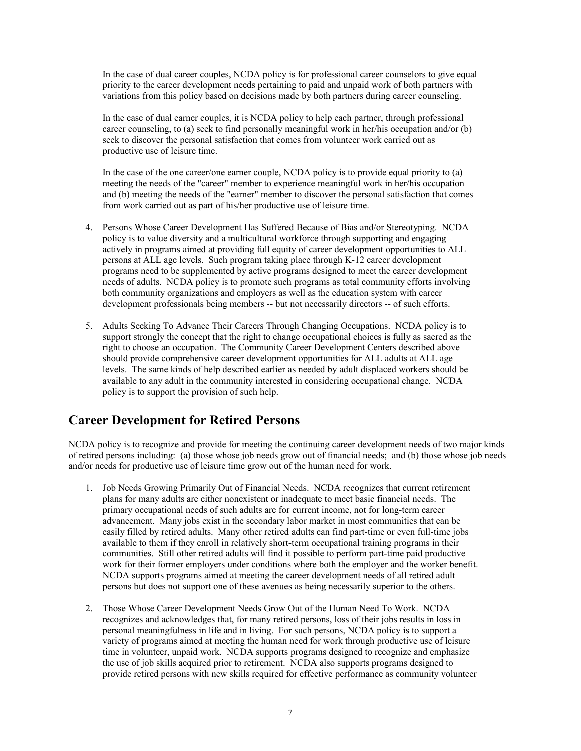In the case of dual career couples, NCDA policy is for professional career counselors to give equal priority to the career development needs pertaining to paid and unpaid work of both partners with variations from this policy based on decisions made by both partners during career counseling.

In the case of dual earner couples, it is NCDA policy to help each partner, through professional career counseling, to (a) seek to find personally meaningful work in her/his occupation and/or (b) seek to discover the personal satisfaction that comes from volunteer work carried out as productive use of leisure time.

In the case of the one career/one earner couple, NCDA policy is to provide equal priority to (a) meeting the needs of the "career" member to experience meaningful work in her/his occupation and (b) meeting the needs of the "earner" member to discover the personal satisfaction that comes from work carried out as part of his/her productive use of leisure time.

- 4. Persons Whose Career Development Has Suffered Because of Bias and/or Stereotyping. NCDA policy is to value diversity and a multicultural workforce through supporting and engaging actively in programs aimed at providing full equity of career development opportunities to ALL persons at ALL age levels. Such program taking place through K-12 career development programs need to be supplemented by active programs designed to meet the career development needs of adults. NCDA policy is to promote such programs as total community efforts involving both community organizations and employers as well as the education system with career development professionals being members -- but not necessarily directors -- of such efforts.
- 5. Adults Seeking To Advance Their Careers Through Changing Occupations. NCDA policy is to support strongly the concept that the right to change occupational choices is fully as sacred as the right to choose an occupation. The Community Career Development Centers described above should provide comprehensive career development opportunities for ALL adults at ALL age levels. The same kinds of help described earlier as needed by adult displaced workers should be available to any adult in the community interested in considering occupational change. NCDA policy is to support the provision of such help.

#### **Career Development for Retired Persons**

NCDA policy is to recognize and provide for meeting the continuing career development needs of two major kinds of retired persons including: (a) those whose job needs grow out of financial needs; and (b) those whose job needs and/or needs for productive use of leisure time grow out of the human need for work.

- 1. Job Needs Growing Primarily Out of Financial Needs. NCDA recognizes that current retirement plans for many adults are either nonexistent or inadequate to meet basic financial needs. The primary occupational needs of such adults are for current income, not for long-term career advancement. Many jobs exist in the secondary labor market in most communities that can be easily filled by retired adults. Many other retired adults can find part-time or even full-time jobs available to them if they enroll in relatively short-term occupational training programs in their communities. Still other retired adults will find it possible to perform part-time paid productive work for their former employers under conditions where both the employer and the worker benefit. NCDA supports programs aimed at meeting the career development needs of all retired adult persons but does not support one of these avenues as being necessarily superior to the others.
- 2. Those Whose Career Development Needs Grow Out of the Human Need To Work. NCDA recognizes and acknowledges that, for many retired persons, loss of their jobs results in loss in personal meaningfulness in life and in living. For such persons, NCDA policy is to support a variety of programs aimed at meeting the human need for work through productive use of leisure time in volunteer, unpaid work. NCDA supports programs designed to recognize and emphasize the use of job skills acquired prior to retirement. NCDA also supports programs designed to provide retired persons with new skills required for effective performance as community volunteer